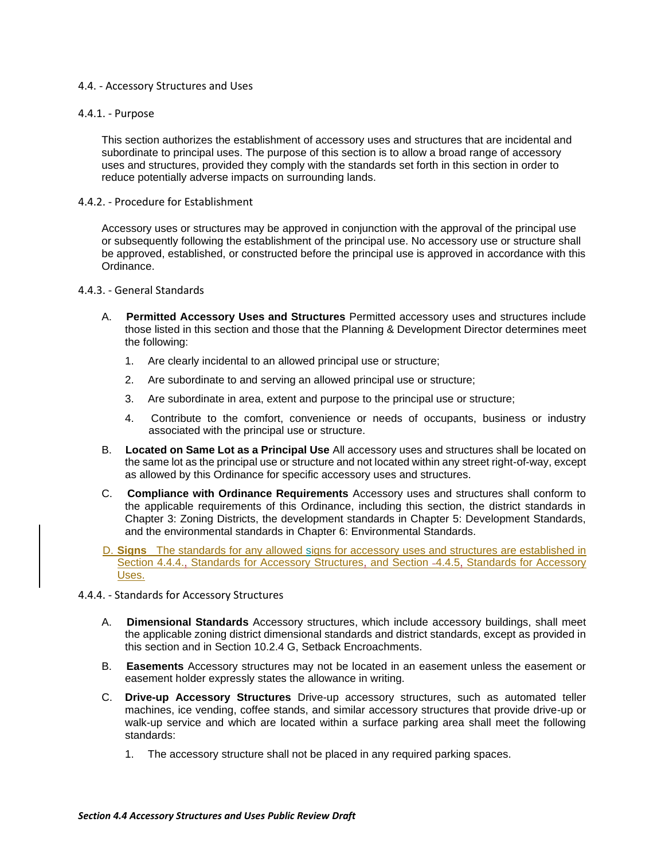## 4.4. - Accessory Structures and Uses

## 4.4.1. - Purpose

This section authorizes the establishment of accessory uses and structures that are incidental and subordinate to principal uses. The purpose of this section is to allow a broad range of accessory uses and structures, provided they comply with the standards set forth in this section in order to reduce potentially adverse impacts on surrounding lands.

## 4.4.2. - Procedure for Establishment

Accessory uses or structures may be approved in conjunction with the approval of the principal use or subsequently following the establishment of the principal use. No accessory use or structure shall be approved, established, or constructed before the principal use is approved in accordance with this Ordinance.

## 4.4.3. - General Standards

- A. **Permitted Accessory Uses and Structures** Permitted accessory uses and structures include those listed in this section and those that the Planning & Development Director determines meet the following:
	- 1. Are clearly incidental to an allowed principal use or structure;
	- 2. Are subordinate to and serving an allowed principal use or structure;
	- 3. Are subordinate in area, extent and purpose to the principal use or structure;
	- 4. Contribute to the comfort, convenience or needs of occupants, business or industry associated with the principal use or structure.
- B. **Located on Same Lot as a Principal Use** All accessory uses and structures shall be located on the same lot as the principal use or structure and not located within any street right-of-way, except as allowed by this Ordinance for specific accessory uses and structures.
- C. **Compliance with Ordinance Requirements** Accessory uses and structures shall conform to the applicable requirements of this Ordinance, including this section, the district standards in Chapter 3: Zoning Districts, the development standards in Chapter 5: Development Standards, and the environmental standards in Chapter 6: Environmental Standards.
- D. **Signs** The standards for any allowed signs for accessory uses and structures are established in Section 4.4.4., Standards for Accessory Structures, and Section 4.4.5, Standards for Accessory Uses.
- 4.4.4. Standards for Accessory Structures
	- A. **Dimensional Standards** Accessory structures, which include accessory buildings, shall meet the applicable zoning district dimensional standards and district standards, except as provided in this section and in Section 10.2.4 G, Setback Encroachments.
	- B. **Easements** Accessory structures may not be located in an easement unless the easement or easement holder expressly states the allowance in writing.
	- C. **Drive-up Accessory Structures** Drive-up accessory structures, such as automated teller machines, ice vending, coffee stands, and similar accessory structures that provide drive-up or walk-up service and which are located within a surface parking area shall meet the following standards:
		- 1. The accessory structure shall not be placed in any required parking spaces.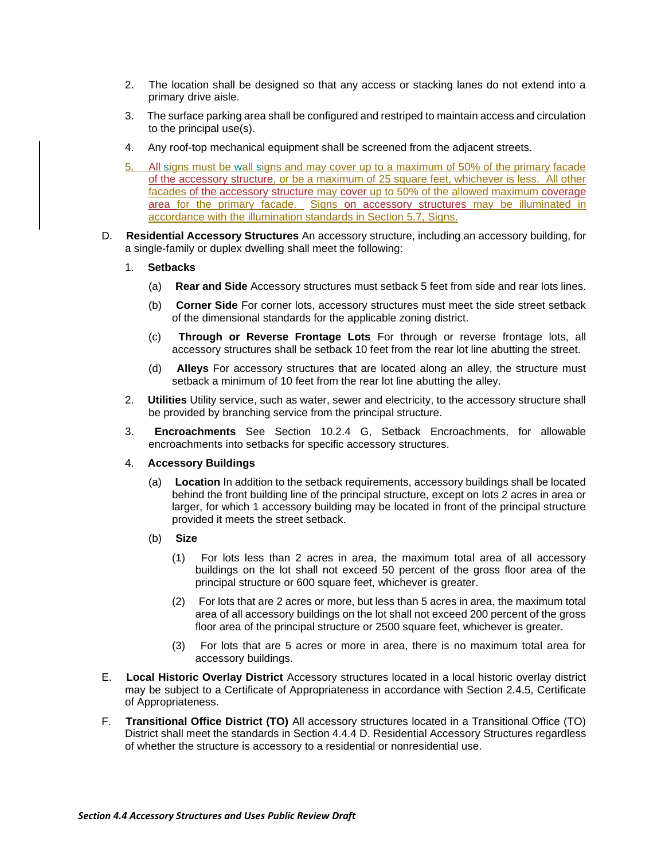- 2. The location shall be designed so that any access or stacking lanes do not extend into a primary drive aisle.
- 3. The surface parking area shall be configured and restriped to maintain access and circulation to the principal use(s).
- 4. Any roof-top mechanical equipment shall be screened from the adjacent streets.
- 5. All signs must be wall signs and may cover up to a maximum of 50% of the primary facade of the accessory structure, or be a maximum of 25 square feet, whichever is less. All other facades of the accessory structure may cover up to 50% of the allowed maximum coverage area for the primary facade. Signs on accessory structures may be illuminated in accordance with the illumination standards in Section 5.7, Signs.
- D. **Residential Accessory Structures** An accessory structure, including an accessory building, for a single-family or duplex dwelling shall meet the following:
	- 1. **Setbacks**
		- (a) **Rear and Side** Accessory structures must setback 5 feet from side and rear lots lines.
		- (b) **Corner Side** For corner lots, accessory structures must meet the side street setback of the dimensional standards for the applicable zoning district.
		- (c) **Through or Reverse Frontage Lots** For through or reverse frontage lots, all accessory structures shall be setback 10 feet from the rear lot line abutting the street.
		- (d) **Alleys** For accessory structures that are located along an alley, the structure must setback a minimum of 10 feet from the rear lot line abutting the alley.
	- 2. **Utilities** Utility service, such as water, sewer and electricity, to the accessory structure shall be provided by branching service from the principal structure.
	- 3. **Encroachments** See Section 10.2.4 G, Setback Encroachments, for allowable encroachments into setbacks for specific accessory structures.
	- 4. **Accessory Buildings**
		- (a) **Location** In addition to the setback requirements, accessory buildings shall be located behind the front building line of the principal structure, except on lots 2 acres in area or larger, for which 1 accessory building may be located in front of the principal structure provided it meets the street setback.
		- (b) **Size**
			- (1) For lots less than 2 acres in area, the maximum total area of all accessory buildings on the lot shall not exceed 50 percent of the gross floor area of the principal structure or 600 square feet, whichever is greater.
			- (2) For lots that are 2 acres or more, but less than 5 acres in area, the maximum total area of all accessory buildings on the lot shall not exceed 200 percent of the gross floor area of the principal structure or 2500 square feet, whichever is greater.
			- (3) For lots that are 5 acres or more in area, there is no maximum total area for accessory buildings.
- E. **Local Historic Overlay District** Accessory structures located in a local historic overlay district may be subject to a Certificate of Appropriateness in accordance with Section 2.4.5, Certificate of Appropriateness.
- F. **Transitional Office District (TO)** All accessory structures located in a Transitional Office (TO) District shall meet the standards in Section 4.4.4 D. Residential Accessory Structures regardless of whether the structure is accessory to a residential or nonresidential use.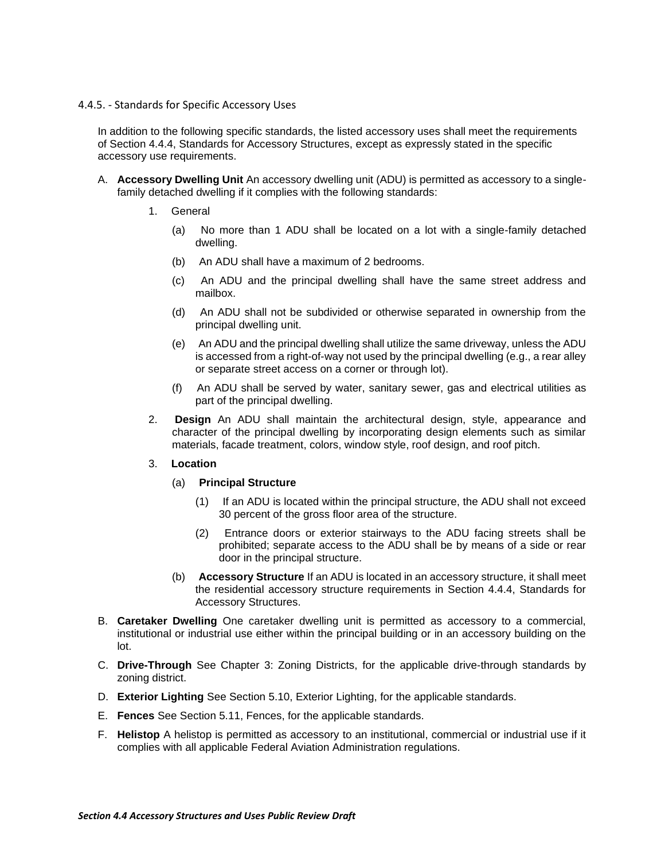## 4.4.5. - Standards for Specific Accessory Uses

In addition to the following specific standards, the listed accessory uses shall meet the requirements of Section 4.4.4, Standards for Accessory Structures, except as expressly stated in the specific accessory use requirements.

- A. **Accessory Dwelling Unit** An accessory dwelling unit (ADU) is permitted as accessory to a singlefamily detached dwelling if it complies with the following standards:
	- 1. General
		- (a) No more than 1 ADU shall be located on a lot with a single-family detached dwelling.
		- (b) An ADU shall have a maximum of 2 bedrooms.
		- (c) An ADU and the principal dwelling shall have the same street address and mailbox.
		- (d) An ADU shall not be subdivided or otherwise separated in ownership from the principal dwelling unit.
		- (e) An ADU and the principal dwelling shall utilize the same driveway, unless the ADU is accessed from a right-of-way not used by the principal dwelling (e.g., a rear alley or separate street access on a corner or through lot).
		- (f) An ADU shall be served by water, sanitary sewer, gas and electrical utilities as part of the principal dwelling.
	- 2. **Design** An ADU shall maintain the architectural design, style, appearance and character of the principal dwelling by incorporating design elements such as similar materials, facade treatment, colors, window style, roof design, and roof pitch.
	- 3. **Location**
		- (a) **Principal Structure**
			- (1) If an ADU is located within the principal structure, the ADU shall not exceed 30 percent of the gross floor area of the structure.
			- (2) Entrance doors or exterior stairways to the ADU facing streets shall be prohibited; separate access to the ADU shall be by means of a side or rear door in the principal structure.
		- (b) **Accessory Structure** If an ADU is located in an accessory structure, it shall meet the residential accessory structure requirements in Section 4.4.4, Standards for Accessory Structures.
- B. **Caretaker Dwelling** One caretaker dwelling unit is permitted as accessory to a commercial, institutional or industrial use either within the principal building or in an accessory building on the lot.
- C. **Drive-Through** See Chapter 3: Zoning Districts, for the applicable drive-through standards by zoning district.
- D. **Exterior Lighting** See Section 5.10, Exterior Lighting, for the applicable standards.
- E. **Fences** See Section 5.11, Fences, for the applicable standards.
- F. **Helistop** A helistop is permitted as accessory to an institutional, commercial or industrial use if it complies with all applicable Federal Aviation Administration regulations.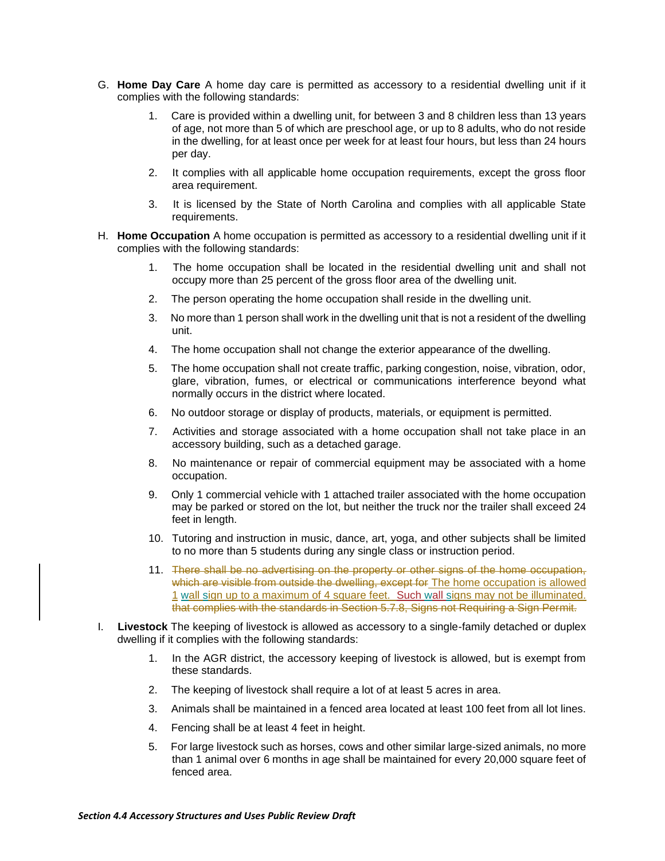- G. **Home Day Care** A home day care is permitted as accessory to a residential dwelling unit if it complies with the following standards:
	- 1. Care is provided within a dwelling unit, for between 3 and 8 children less than 13 years of age, not more than 5 of which are preschool age, or up to 8 adults, who do not reside in the dwelling, for at least once per week for at least four hours, but less than 24 hours per day.
	- 2. It complies with all applicable home occupation requirements, except the gross floor area requirement.
	- 3. It is licensed by the State of North Carolina and complies with all applicable State requirements.
- H. **Home Occupation** A home occupation is permitted as accessory to a residential dwelling unit if it complies with the following standards:
	- 1. The home occupation shall be located in the residential dwelling unit and shall not occupy more than 25 percent of the gross floor area of the dwelling unit.
	- 2. The person operating the home occupation shall reside in the dwelling unit.
	- 3. No more than 1 person shall work in the dwelling unit that is not a resident of the dwelling unit.
	- 4. The home occupation shall not change the exterior appearance of the dwelling.
	- 5. The home occupation shall not create traffic, parking congestion, noise, vibration, odor, glare, vibration, fumes, or electrical or communications interference beyond what normally occurs in the district where located.
	- 6. No outdoor storage or display of products, materials, or equipment is permitted.
	- 7. Activities and storage associated with a home occupation shall not take place in an accessory building, such as a detached garage.
	- 8. No maintenance or repair of commercial equipment may be associated with a home occupation.
	- 9. Only 1 commercial vehicle with 1 attached trailer associated with the home occupation may be parked or stored on the lot, but neither the truck nor the trailer shall exceed 24 feet in length.
	- 10. Tutoring and instruction in music, dance, art, yoga, and other subjects shall be limited to no more than 5 students during any single class or instruction period.
	- 11. There shall be no advertising on the property or other signs of the home occupation, which are visible from outside the dwelling, except for The home occupation is allowed 1 wall sign up to a maximum of 4 square feet. Such wall signs may not be illuminated. that complies with the standards in Section 5.7.8, Signs not Requiring a Sign Permit.
- I. **Livestock** The keeping of livestock is allowed as accessory to a single-family detached or duplex dwelling if it complies with the following standards:
	- 1. In the AGR district, the accessory keeping of livestock is allowed, but is exempt from these standards.
	- 2. The keeping of livestock shall require a lot of at least 5 acres in area.
	- 3. Animals shall be maintained in a fenced area located at least 100 feet from all lot lines.
	- 4. Fencing shall be at least 4 feet in height.
	- 5. For large livestock such as horses, cows and other similar large-sized animals, no more than 1 animal over 6 months in age shall be maintained for every 20,000 square feet of fenced area.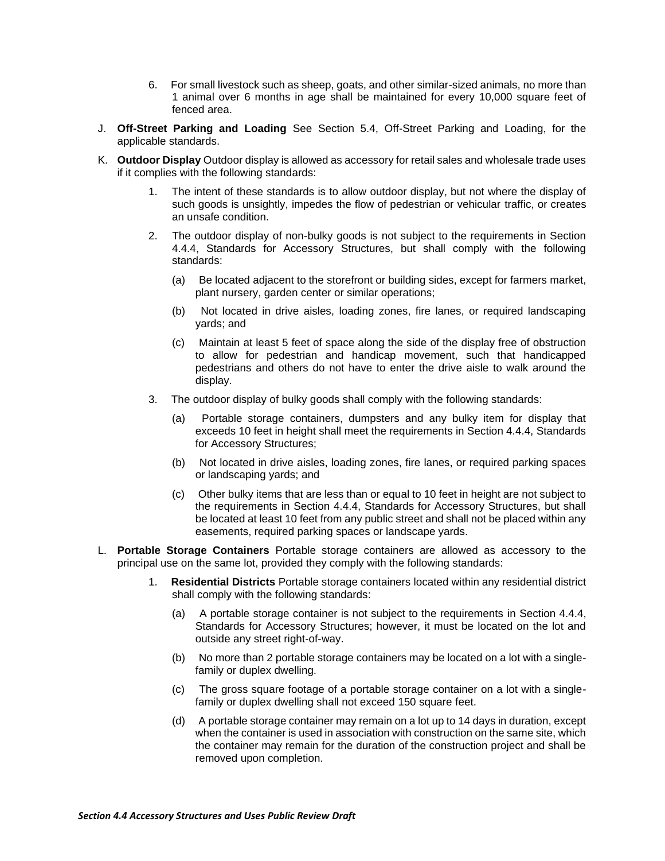- 6. For small livestock such as sheep, goats, and other similar-sized animals, no more than 1 animal over 6 months in age shall be maintained for every 10,000 square feet of fenced area.
- J. **Off-Street Parking and Loading** See Section 5.4, Off-Street Parking and Loading, for the applicable standards.
- K. **Outdoor Display** Outdoor display is allowed as accessory for retail sales and wholesale trade uses if it complies with the following standards:
	- The intent of these standards is to allow outdoor display, but not where the display of such goods is unsightly, impedes the flow of pedestrian or vehicular traffic, or creates an unsafe condition.
	- 2. The outdoor display of non-bulky goods is not subject to the requirements in Section 4.4.4, Standards for Accessory Structures, but shall comply with the following standards:
		- (a) Be located adjacent to the storefront or building sides, except for farmers market, plant nursery, garden center or similar operations;
		- (b) Not located in drive aisles, loading zones, fire lanes, or required landscaping yards; and
		- (c) Maintain at least 5 feet of space along the side of the display free of obstruction to allow for pedestrian and handicap movement, such that handicapped pedestrians and others do not have to enter the drive aisle to walk around the display.
	- 3. The outdoor display of bulky goods shall comply with the following standards:
		- (a) Portable storage containers, dumpsters and any bulky item for display that exceeds 10 feet in height shall meet the requirements in Section 4.4.4, Standards for Accessory Structures;
		- (b) Not located in drive aisles, loading zones, fire lanes, or required parking spaces or landscaping yards; and
		- (c) Other bulky items that are less than or equal to 10 feet in height are not subject to the requirements in Section 4.4.4, Standards for Accessory Structures, but shall be located at least 10 feet from any public street and shall not be placed within any easements, required parking spaces or landscape yards.
- L. **Portable Storage Containers** Portable storage containers are allowed as accessory to the principal use on the same lot, provided they comply with the following standards:
	- 1. **Residential Districts** Portable storage containers located within any residential district shall comply with the following standards:
		- (a) A portable storage container is not subject to the requirements in Section 4.4.4, Standards for Accessory Structures; however, it must be located on the lot and outside any street right-of-way.
		- (b) No more than 2 portable storage containers may be located on a lot with a singlefamily or duplex dwelling.
		- (c) The gross square footage of a portable storage container on a lot with a singlefamily or duplex dwelling shall not exceed 150 square feet.
		- (d) A portable storage container may remain on a lot up to 14 days in duration, except when the container is used in association with construction on the same site, which the container may remain for the duration of the construction project and shall be removed upon completion.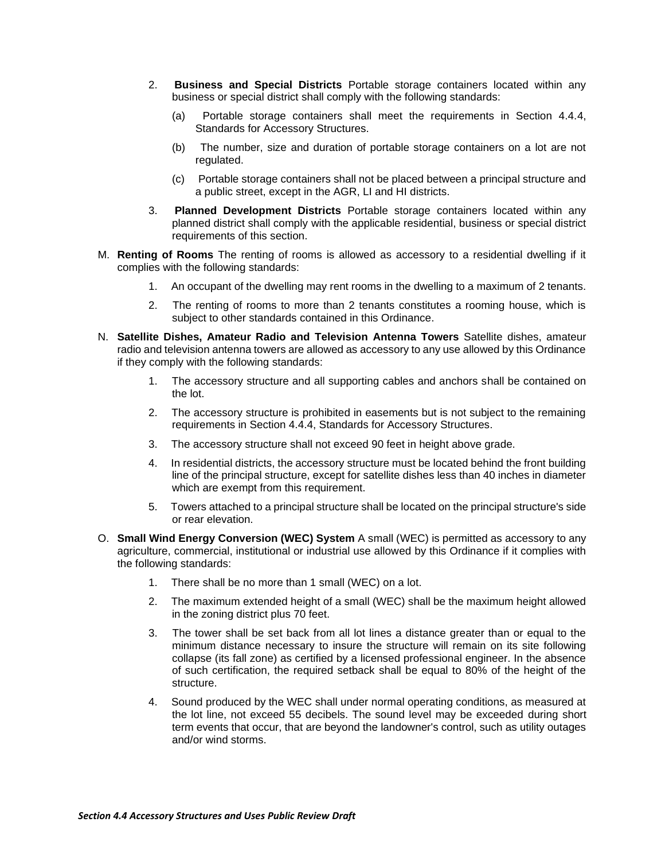- 2. **Business and Special Districts** Portable storage containers located within any business or special district shall comply with the following standards:
	- (a) Portable storage containers shall meet the requirements in Section 4.4.4, Standards for Accessory Structures.
	- (b) The number, size and duration of portable storage containers on a lot are not regulated.
	- (c) Portable storage containers shall not be placed between a principal structure and a public street, except in the AGR, LI and HI districts.
- 3. **Planned Development Districts** Portable storage containers located within any planned district shall comply with the applicable residential, business or special district requirements of this section.
- M. **Renting of Rooms** The renting of rooms is allowed as accessory to a residential dwelling if it complies with the following standards:
	- 1. An occupant of the dwelling may rent rooms in the dwelling to a maximum of 2 tenants.
	- 2. The renting of rooms to more than 2 tenants constitutes a rooming house, which is subject to other standards contained in this Ordinance.
- N. **Satellite Dishes, Amateur Radio and Television Antenna Towers** Satellite dishes, amateur radio and television antenna towers are allowed as accessory to any use allowed by this Ordinance if they comply with the following standards:
	- 1. The accessory structure and all supporting cables and anchors shall be contained on the lot.
	- 2. The accessory structure is prohibited in easements but is not subject to the remaining requirements in Section 4.4.4, Standards for Accessory Structures.
	- 3. The accessory structure shall not exceed 90 feet in height above grade.
	- 4. In residential districts, the accessory structure must be located behind the front building line of the principal structure, except for satellite dishes less than 40 inches in diameter which are exempt from this requirement.
	- 5. Towers attached to a principal structure shall be located on the principal structure's side or rear elevation.
- O. **Small Wind Energy Conversion (WEC) System** A small (WEC) is permitted as accessory to any agriculture, commercial, institutional or industrial use allowed by this Ordinance if it complies with the following standards:
	- 1. There shall be no more than 1 small (WEC) on a lot.
	- 2. The maximum extended height of a small (WEC) shall be the maximum height allowed in the zoning district plus 70 feet.
	- 3. The tower shall be set back from all lot lines a distance greater than or equal to the minimum distance necessary to insure the structure will remain on its site following collapse (its fall zone) as certified by a licensed professional engineer. In the absence of such certification, the required setback shall be equal to 80% of the height of the structure.
	- 4. Sound produced by the WEC shall under normal operating conditions, as measured at the lot line, not exceed 55 decibels. The sound level may be exceeded during short term events that occur, that are beyond the landowner's control, such as utility outages and/or wind storms.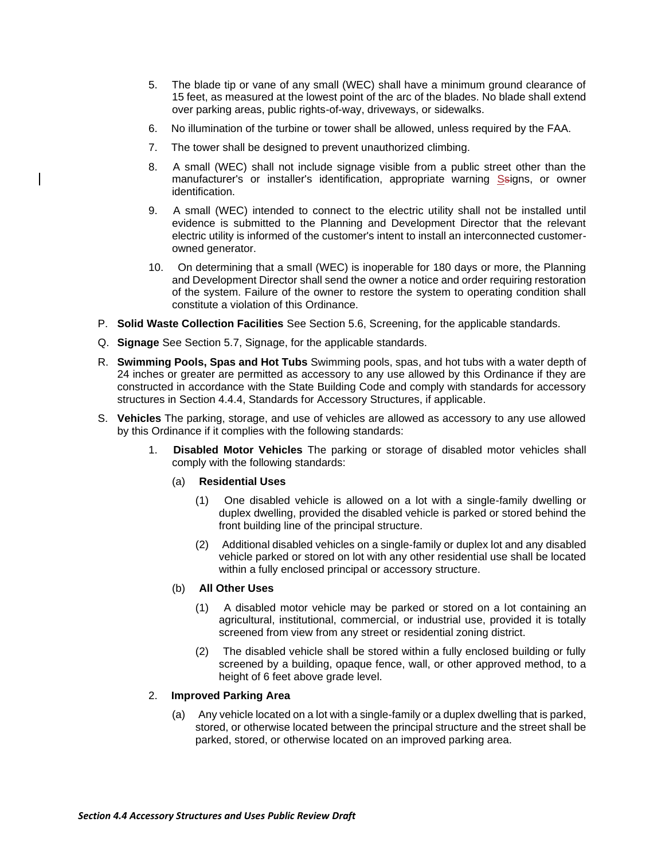- 5. The blade tip or vane of any small (WEC) shall have a minimum ground clearance of 15 feet, as measured at the lowest point of the arc of the blades. No blade shall extend over parking areas, public rights-of-way, driveways, or sidewalks.
- 6. No illumination of the turbine or tower shall be allowed, unless required by the FAA.
- 7. The tower shall be designed to prevent unauthorized climbing.
- 8. A small (WEC) shall not include signage visible from a public street other than the manufacturer's or installer's identification, appropriate warning Ssigns, or owner identification.
- 9. A small (WEC) intended to connect to the electric utility shall not be installed until evidence is submitted to the Planning and Development Director that the relevant electric utility is informed of the customer's intent to install an interconnected customerowned generator.
- 10. On determining that a small (WEC) is inoperable for 180 days or more, the Planning and Development Director shall send the owner a notice and order requiring restoration of the system. Failure of the owner to restore the system to operating condition shall constitute a violation of this Ordinance.
- P. **Solid Waste Collection Facilities** See Section 5.6, Screening, for the applicable standards.
- Q. **Signage** See Section 5.7, Signage, for the applicable standards.
- R. **Swimming Pools, Spas and Hot Tubs** Swimming pools, spas, and hot tubs with a water depth of 24 inches or greater are permitted as accessory to any use allowed by this Ordinance if they are constructed in accordance with the State Building Code and comply with standards for accessory structures in Section 4.4.4, Standards for Accessory Structures, if applicable.
- S. **Vehicles** The parking, storage, and use of vehicles are allowed as accessory to any use allowed by this Ordinance if it complies with the following standards:
	- 1. **Disabled Motor Vehicles** The parking or storage of disabled motor vehicles shall comply with the following standards:
		- (a) **Residential Uses**
			- (1) One disabled vehicle is allowed on a lot with a single-family dwelling or duplex dwelling, provided the disabled vehicle is parked or stored behind the front building line of the principal structure.
			- (2) Additional disabled vehicles on a single-family or duplex lot and any disabled vehicle parked or stored on lot with any other residential use shall be located within a fully enclosed principal or accessory structure.

## (b) **All Other Uses**

- (1) A disabled motor vehicle may be parked or stored on a lot containing an agricultural, institutional, commercial, or industrial use, provided it is totally screened from view from any street or residential zoning district.
- (2) The disabled vehicle shall be stored within a fully enclosed building or fully screened by a building, opaque fence, wall, or other approved method, to a height of 6 feet above grade level.

# 2. **Improved Parking Area**

(a) Any vehicle located on a lot with a single-family or a duplex dwelling that is parked, stored, or otherwise located between the principal structure and the street shall be parked, stored, or otherwise located on an improved parking area.